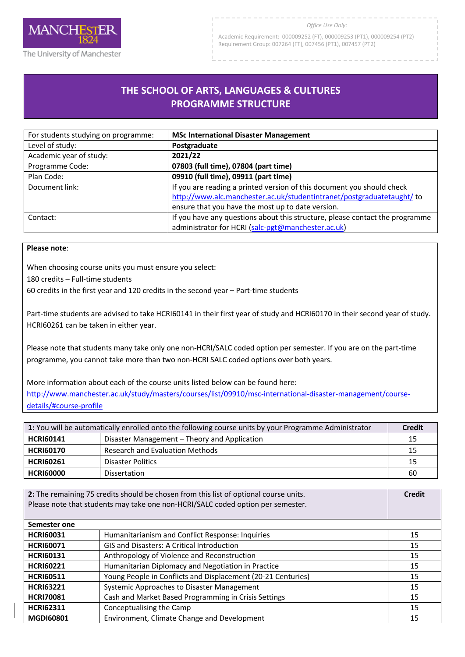

#### *Office Use Only:*

Academic Requirement: 000009252 (FT), 000009253 (PT1), 000009254 (PT2) Requirement Group: 007264 (FT), 007456 (PT1), 007457 (PT2)

# **THE SCHOOL OF ARTS, LANGUAGES & CULTURES PROGRAMME STRUCTURE**

R

| For students studying on programme: | <b>MSc International Disaster Management</b>                                 |
|-------------------------------------|------------------------------------------------------------------------------|
| Level of study:                     | Postgraduate                                                                 |
| Academic year of study:             | 2021/22                                                                      |
| Programme Code:                     | 07803 (full time), 07804 (part time)                                         |
| Plan Code:                          | 09910 (full time), 09911 (part time)                                         |
| Document link:                      | If you are reading a printed version of this document you should check       |
|                                     | http://www.alc.manchester.ac.uk/studentintranet/postgraduatetaught/ to       |
|                                     | ensure that you have the most up to date version.                            |
| Contact:                            | If you have any questions about this structure, please contact the programme |
|                                     | administrator for HCRI (salc-pgt@manchester.ac.uk)                           |

### **Please note**:

When choosing course units you must ensure you select:

180 credits – Full-time students

60 credits in the first year and 120 credits in the second year – Part-time students

Part-time students are advised to take HCRI60141 in their first year of study and HCRI60170 in their second year of study. HCRI60261 can be taken in either year.

Please note that students many take only one non-HCRI/SALC coded option per semester. If you are on the part-time programme, you cannot take more than two non-HCRI SALC coded options over both years.

More information about each of the course units listed below can be found here: [http://www.manchester.ac.uk/study/masters/courses/list/09910/msc-international-disaster-management/course](http://www.manchester.ac.uk/study/masters/courses/list/09910/msc-international-disaster-management/course-details/#course-profile)[details/#course-profile](http://www.manchester.ac.uk/study/masters/courses/list/09910/msc-international-disaster-management/course-details/#course-profile)

| 1: You will be automatically enrolled onto the following course units by your Programme Administrator |                                              | <b>Credit</b> |
|-------------------------------------------------------------------------------------------------------|----------------------------------------------|---------------|
| <b>HCRI60141</b>                                                                                      | Disaster Management – Theory and Application | 15            |
| <b>HCRI60170</b>                                                                                      | <b>Research and Evaluation Methods</b>       | 15            |
| <b>HCRI60261</b>                                                                                      | <b>Disaster Politics</b>                     | 15            |
| <b>HCRI60000</b>                                                                                      | Dissertation                                 | 60            |

| 2: The remaining 75 credits should be chosen from this list of optional course units.<br>Please note that students may take one non-HCRI/SALC coded option per semester. |                                                              | <b>Credit</b> |
|--------------------------------------------------------------------------------------------------------------------------------------------------------------------------|--------------------------------------------------------------|---------------|
| Semester one                                                                                                                                                             |                                                              |               |
| <b>HCRI60031</b>                                                                                                                                                         | Humanitarianism and Conflict Response: Inquiries             | 15            |
| <b>HCRI60071</b>                                                                                                                                                         | <b>GIS and Disasters: A Critical Introduction</b>            | 15            |
| <b>HCRI60131</b>                                                                                                                                                         | Anthropology of Violence and Reconstruction                  | 15            |
| <b>HCRI60221</b>                                                                                                                                                         | Humanitarian Diplomacy and Negotiation in Practice           | 15            |
| <b>HCRI60511</b>                                                                                                                                                         | Young People in Conflicts and Displacement (20-21 Centuries) | 15            |
| <b>HCRI63221</b>                                                                                                                                                         | Systemic Approaches to Disaster Management                   | 15            |
| <b>HCRI70081</b>                                                                                                                                                         | Cash and Market Based Programming in Crisis Settings         | 15            |
| <b>HCRI62311</b>                                                                                                                                                         | Conceptualising the Camp                                     | 15            |
| <b>MGDI60801</b>                                                                                                                                                         | Environment, Climate Change and Development                  | 15            |